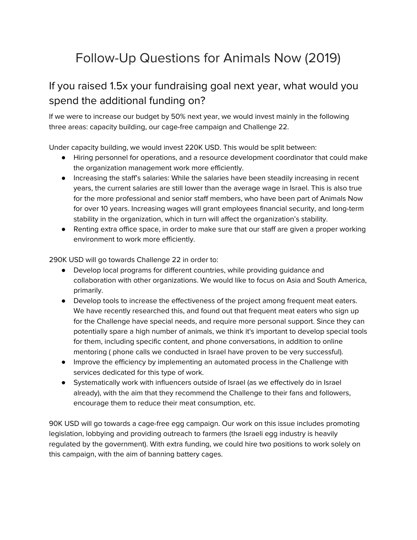# Follow-Up Questions for Animals Now (2019)

# If you raised 1.5x your fundraising goal next year, what would you spend the additional funding on?

If we were to increase our budget by 50% next year, we would invest mainly in the following three areas: capacity building, our cage-free campaign and Challenge 22.

Under capacity building, we would invest 220K USD. This would be split between:

- Hiring personnel for operations, and a resource development coordinator that could make the organization management work more efficiently.
- Increasing the staff's salaries: While the salaries have been steadily increasing in recent years, the current salaries are still lower than the average wage in Israel. This is also true for the more professional and senior staff members, who have been part of Animals Now for over 10 years. Increasing wages will grant employees financial security, and long-term stability in the organization, which in turn will affect the organization's stability.
- Renting extra office space, in order to make sure that our staff are given a proper working environment to work more efficiently.

290K USD will go towards Challenge 22 in order to:

- Develop local programs for different countries, while providing guidance and collaboration with other organizations. We would like to focus on Asia and South America, primarily.
- Develop tools to increase the effectiveness of the project among frequent meat eaters. We have recently researched this, and found out that frequent meat eaters who sign up for the Challenge have special needs, and require more personal support. Since they can potentially spare a high number of animals, we think it's important to develop special tools for them, including specific content, and phone conversations, in addition to online mentoring ( phone calls we conducted in Israel have proven to be very successful).
- Improve the efficiency by implementing an automated process in the Challenge with services dedicated for this type of work.
- Systematically work with influencers outside of Israel (as we effectively do in Israel already), with the aim that they recommend the Challenge to their fans and followers, encourage them to reduce their meat consumption, etc.

90K USD will go towards a cage-free egg campaign. Our work on this issue includes promoting legislation, lobbying and providing outreach to farmers (the Israeli egg industry is heavily regulated by the government). With extra funding, we could hire two positions to work solely on this campaign, with the aim of banning battery cages.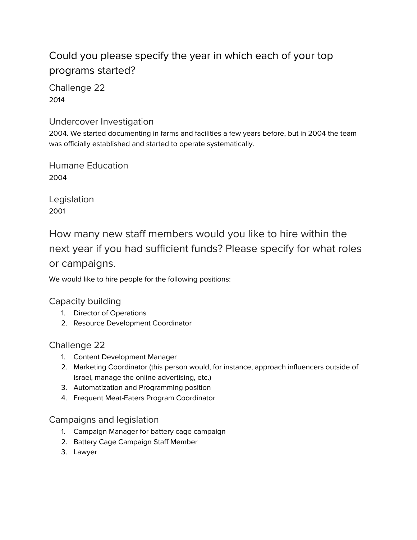# Could you please specify the year in which each of your top programs started?

Challenge 22 2014

#### Undercover Investigation

2004. We started documenting in farms and facilities a few years before, but in 2004 the team was officially established and started to operate systematically.

Humane Education 2004

Legislation 2001

How many new staff members would you like to hire within the next year if you had sufficient funds? Please specify for what roles or campaigns.

We would like to hire people for the following positions:

### Capacity building

- 1. Director of Operations
- 2. Resource Development Coordinator

#### Challenge 22

- 1. Content Development Manager
- 2. Marketing Coordinator (this person would, for instance, approach influencers outside of Israel, manage the online advertising, etc.)
- 3. Automatization and Programming position
- 4. Frequent Meat-Eaters Program Coordinator

#### Campaigns and legislation

- 1. Campaign Manager for battery cage campaign
- 2. Battery Cage Campaign Staff Member
- 3. Lawyer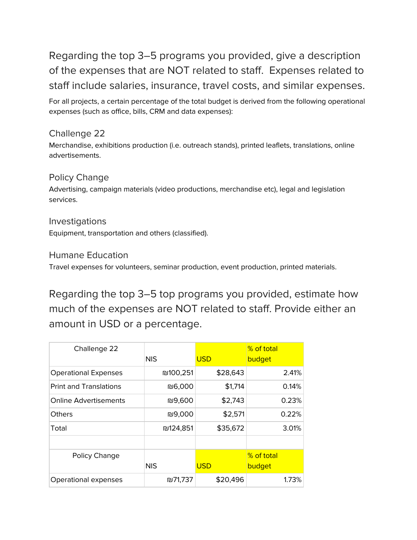Regarding the top 3–5 programs you provided, give a description of the expenses that are NOT related to staff. Expenses related to staff include salaries, insurance, travel costs, and similar expenses.

For all projects, a certain percentage of the total budget is derived from the following operational expenses (such as office, bills, CRM and data expenses):

### Challenge 22

Merchandise, exhibitions production (i.e. outreach stands), printed leaflets, translations, online advertisements.

### Policy Change

Advertising, campaign materials (video productions, merchandise etc), legal and legislation services.

#### Investigations Equipment, transportation and others (classified).

### Humane Education

Travel expenses for volunteers, seminar production, event production, printed materials.

Regarding the top 3–5 top programs you provided, estimate how much of the expenses are NOT related to staff. Provide either an amount in USD or a percentage.

| Challenge 22                  | <b>NIS</b> | <b>USD</b> | % of total<br>budget |
|-------------------------------|------------|------------|----------------------|
| <b>Operational Expenses</b>   | ₪100,251   | \$28,643   | 2.41%                |
| <b>Print and Translations</b> | ₪6,000     | \$1,714    | 0.14%                |
| <b>Online Advertisements</b>  | ₪9,600     | \$2,743    | 0.23%                |
| <b>Others</b>                 | ₪9,000     | \$2,571    | 0.22%                |
| Total                         | ₪124,851   | \$35,672   | 3.01%                |
|                               |            |            |                      |
| Policy Change                 | <b>NIS</b> | <b>USD</b> | % of total<br>budget |
| Operational expenses          | ₪71,737    | \$20,496   | 1.73%                |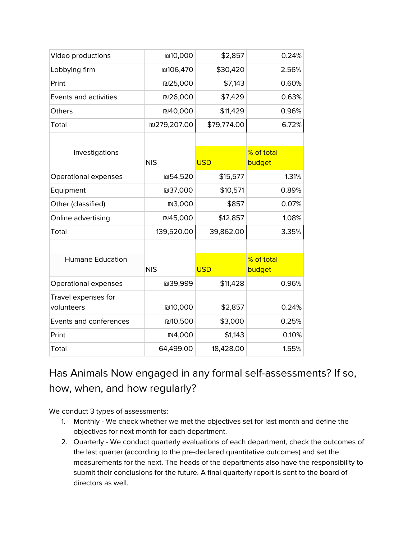| Video productions       | ₪10,000        | \$2,857     | 0.24%      |
|-------------------------|----------------|-------------|------------|
| Lobbying firm           | ₪106,470       | \$30,420    | 2.56%      |
| Print                   | ₪25,000        | \$7,143     | 0.60%      |
| Events and activities   | ₪26,000        | \$7,429     | 0.63%      |
| Others                  | ₪40,000        | \$11,429    | 0.96%      |
| Total                   | ₪279,207.00    | \$79,774.00 | 6.72%      |
|                         |                |             |            |
| Investigations          |                |             | % of total |
|                         | <b>NIS</b>     | <b>USD</b>  | budget     |
| Operational expenses    | <b>N54,520</b> | \$15,577    | 1.31%      |
| Equipment               | ₪37,000        | \$10,571    | 0.89%      |
| Other (classified)      | ₪3,000         | \$857       | 0.07%      |
| Online advertising      | ₪45,000        | \$12,857    | 1.08%      |
| Total                   | 139,520.00     | 39,862.00   | 3.35%      |
|                         |                |             |            |
| <b>Humane Education</b> |                |             | % of total |
|                         | <b>NIS</b>     | <b>USD</b>  | budget     |
| Operational expenses    | ₪39,999        | \$11,428    | 0.96%      |
| Travel expenses for     |                |             |            |
| volunteers              | ₪10,000        | \$2,857     | 0.24%      |
| Events and conferences  | ₪10,500        | \$3,000     | 0.25%      |
| Print                   | ₪4,000         | \$1,143     | 0.10%      |
| Total                   | 64,499.00      | 18,428.00   | 1.55%      |

# Has Animals Now engaged in any formal self-assessments? If so, how, when, and how regularly?

We conduct 3 types of assessments:

- 1. Monthly We check whether we met the objectives set for last month and define the objectives for next month for each department.
- 2. Quarterly We conduct quarterly evaluations of each department, check the outcomes of the last quarter (according to the pre-declared quantitative outcomes) and set the measurements for the next. The heads of the departments also have the responsibility to submit their conclusions for the future. A final quarterly report is sent to the board of directors as well.